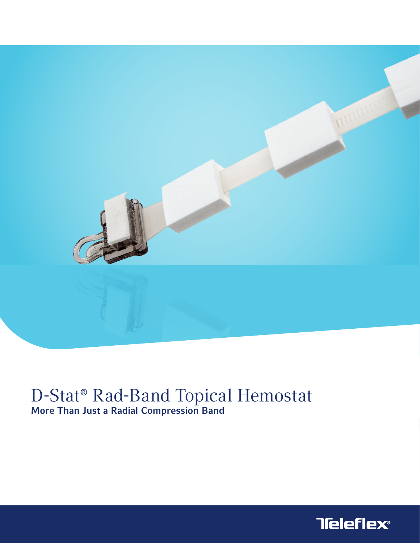

# D-Stat<sup>®</sup> Rad-Band Topical Hemostat<br>More Than Just a Radial Compression Band